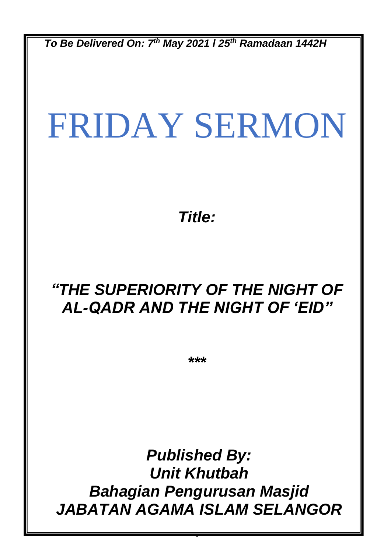*To Be Delivered On: 7 th May 2021 l 25th Ramadaan 1442H*

# FRIDAY SERMON

*Title:*

## *"THE SUPERIORITY OF THE NIGHT OF AL-QADR AND THE NIGHT OF 'EID"*

*\*\*\**

*Published By: Unit Khutbah Bahagian Pengurusan Masjid JABATAN AGAMA ISLAM SELANGOR*

0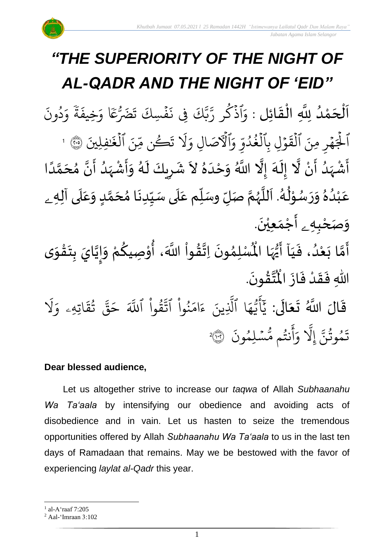#### *"THE SUPERIORITY OF THE NIGHT OF AL-QADR AND THE NIGHT OF 'EID"* .<br>با ن<br>ا اَلْحَمْدُ لِلَّهِ الْقَائِلِ : وَ و<br>و ْ<br>م  $\overline{\phantom{a}}$ ֦֧֦֧֦֧֦֧֦֦֜֜֜֜֜֜֜֜֜֜֜֜<mark>֦</mark>  $\overline{\phantom{a}}$  $\frac{1}{2}$ ֦֧֦֧֦֧֦֧֦֧֦֜֜֜֜֜֜֜֜<br>֧֝֜֜**֓** وَاذَكَر و<br>م <u>ہ</u><br>:  $\ddot{\cdot}$ ون د و<br>د  $\frac{1}{\alpha}$ و المجموعة ة  $\ddot{\cdot}$ يخيف  $\frac{1}{\alpha}$ فْسِكَ تَضَرُّعَا وَ  $\ddot{\cdot}$  $\ddot{\cdot}$ يِف ن ك َّ بة<br>ب ىر<br>پ ¤<br>ر الجَهْرِ  $\frac{1}{2}$  $\overline{a}$ ہ<br>ا  $\Rightarrow$  $\ddot{\cdot}$ مِنَ الْقَوْلِ  $\ddot{\phantom{0}}$  $\ddot{\phantom{0}}$ لقَوَلِ بِالغُدُوِّ ہ<br>1 ں<br>م لغُدُوَّ و<br>ا و<br>و ہ<br>1 i<br>C وَٱلۡٱصَالِ وَلَا تَكُن مِّنَ ڪُن مِّ ر  $\ddot{\cdot}$ ت  $\tilde{1}$ َل  $\frac{1}{c}$ وَلَا تَكُن مِّنَ ٱلۡغَٰفِلِينَ َٰ لغَنْفِلِينَ ۞ ا ہ<br>1 بة<br>و اَّشْہَدُ أَنْ لَّا إِلَهَ إِلَّا اللَّهُ وَحْدَهُ لاَ شَرِيكَ لَهُ وَأَشْہَدُ أَنَّ مُحَمَّدًا ر<br>زار ْ े<br>द् الا<br>ا ិ<br>• ر<br>پنج َ<br>م  $\frac{1}{\epsilon}$  $\frac{1}{2}$ ا<br>ا ً<br>أ ل<br>م  $\frac{1}{2}$ انا ..<br>-<br>- $\frac{1}{1}$ ر<br>مړ ْ ا<br>ب  $\tilde{\cdot}$ ,<br>A ر<br>م  $\overline{\phantom{a}}$  $\mathbf{r}$ ं<br>रू  $\frac{2}{\lambda}$ َ  $\frac{1}{2}$ عَبْدُهُ وَرَسُوْلُهُ. اَللَّهُمَّ صَلِّ وسَلِّم عَلَى سَيِّدِنَا مُحَمَّدٍ وَعَلَى آلِهِ ـ  $\overline{\mathbf{r}}$ ِ<br>م  $\tilde{\cdot}$ <u>لم</u> ر<br>م ,<br>ጎ  $\ddot{\phantom{0}}$  $\frac{1}{1}$  $\overline{\mathbf{1}}$ ِ<br>م  $\tilde{\mathbf{i}}$ لة<br>م )<br>)<br>) ش<br>آ  $\mathbf{r}$ .<br>د  $\ast$ ់<br>្ ,<br>,  $\ddot{\phantom{0}}$  $\tilde{a}$  $\frac{2}{\lambda}$ و<br>ا ំ<br>រ ً<br>م و*َص<sub>َ</sub>حْبِهِ <sub>ۦ</sub> أَجْمَعِيْنَ.* ْ  $\ddot{\phantom{0}}$ ់<br>(  $\tilde{a}$  $\tilde{\mathbf{r}}$ آ ي ، ف د ع ا ب م أ ون م ل سْ ْ  $\frac{1}{1}$  $\frac{1}{2}$ .<br>و ំ<br>រ  $\ddot{\cdot}$ لة<br>م ِ<br>پنج  $\ddot{\phantom{0}}$ ,<br>ለ أَيُّهَا الْمُسْلِمُونَ اِتَّقُواْ اللَّهَ، أُوْصِيكُمْ وَإِيَّايَ بِتَقْوَى ِ<br>أم ُ<br>ُرو<br>■  $\frac{1}{2}$ الة  $\frac{1}{2}$ ֦֧<u>֦</u>  $\ddot{\phantom{0}}$  $\frac{1}{2}$ ا<br>ا |<br>=<br>=  $\tilde{\cdot}$ لحيح ֦֧֦֧֦  $\frac{9}{2}$ ؗ<br>ا  $\frac{1}{2}$ .  $\ddot{\phantom{0}}$ ؾڤؤنَ  $\frac{9}{4}$ ا<br>ایر<br>جو  $\mathbf{r}$ اللّٰهِ فَقَدْ فَازَ الْمُ  $\ddot{\cdot}$  $\frac{1}{2}$ ْ  $\frac{1}{2}$  $\ddot{\cdot}$ قَالَ اللَّهُ تَعَالَى: ِ<br>ا َ  $\ddot{\phantom{0}}$  $\ddot{\mathbf{r}}$  $\tilde{1}$ َل ر<br>م اتيهيۦ و  $\ddot{\mathbf{z}}$ ق ت و<br>په ِ<br>په قی  $\tilde{\phantom{0}}$ ح ہ<br>آک قُوا اللَّهَ ْ بِ ور ِ<br>په نُوا اڌّ <u>ہ</u><br>ا ُ  $\frac{1}{2}$ ام  $\tilde{\epsilon}$ ء يين یہ<br>۱ ا الَّذِ ر<br>م ه و<br>د سَ<br>ڊ ۔<br>ج  $\overline{\mathcal{L}}$ ِ<br>د ي  $\ddot{\cdot}$ سُلِمُونَ و<br>م  $\ddot{\phantom{0}}$ و<br>مم نتُم مَّ و<br>په ر<br>ج أ  $\frac{1}{c}$ و ِ<br>آ يَل إ ِ<br>پَ تَمُوثُنَّ إِلَّا وَأَنتُم مُّسۡلِمُونَ ۞ و<br>په و 2

## **Dear blessed audience,**

Let us altogether strive to increase our *taqwa* of Allah *Subhaanahu Wa Ta'aala* by intensifying our obedience and avoiding acts of disobedience and in vain. Let us hasten to seize the tremendous opportunities offered by Allah *Subhaanahu Wa Ta'aala* to us in the last ten days of Ramadaan that remains. May we be bestowed with the favor of experiencing *laylat al-Qadr* this year.

<sup>1</sup> al-A'raaf 7:205

<sup>2</sup> Aal-'Imraan 3:102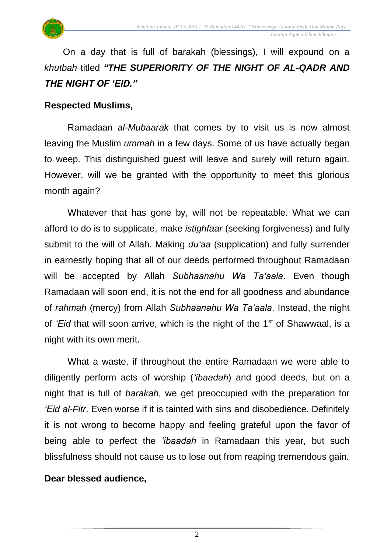

On a day that is full of barakah (blessings), I will expound on a *khutbah* titled *"THE SUPERIORITY OF THE NIGHT OF AL-QADR AND THE NIGHT OF 'EID."*

#### **Respected Muslims,**

Ramadaan *al-Mubaarak* that comes by to visit us is now almost leaving the Muslim *ummah* in a few days. Some of us have actually began to weep. This distinguished guest will leave and surely will return again. However, will we be granted with the opportunity to meet this glorious month again?

Whatever that has gone by, will not be repeatable. What we can afford to do is to supplicate, make *istighfaar* (seeking forgiveness) and fully submit to the will of Allah. Making *du'aa* (supplication) and fully surrender in earnestly hoping that all of our deeds performed throughout Ramadaan will be accepted by Allah *Subhaanahu Wa Ta'aala*. Even though Ramadaan will soon end, it is not the end for all goodness and abundance of *rahmah* (mercy) from Allah *Subhaanahu Wa Ta'aala*. Instead, the night of *'Eid* that will soon arrive, which is the night of the 1<sup>st</sup> of Shawwaal, is a night with its own merit.

What a waste, if throughout the entire Ramadaan we were able to diligently perform acts of worship (*'ibaadah*) and good deeds, but on a night that is full of *barakah*, we get preoccupied with the preparation for *'Eid al-Fitr*. Even worse if it is tainted with sins and disobedience. Definitely it is not wrong to become happy and feeling grateful upon the favor of being able to perfect the *'ibaadah* in Ramadaan this year, but such blissfulness should not cause us to lose out from reaping tremendous gain.

## **Dear blessed audience,**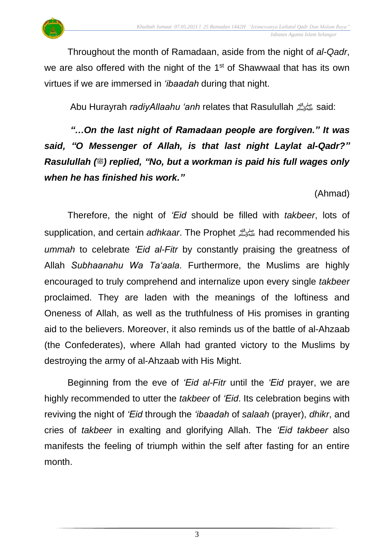Throughout the month of Ramadaan, aside from the night of *al-Qadr*, we are also offered with the night of the  $1<sup>st</sup>$  of Shawwaal that has its own virtues if we are immersed in *'ibaadah* during that night.

Abu Hurayrah *radiyAllaahu 'anh* relates that Rasulullahصلى الله عليه وسلمsaid:

*"…On the last night of Ramadaan people are forgiven." It was said, "O Messenger of Allah, is that last night Laylat al-Qadr?" Rasulullah (...)* replied, "No, but a workman is paid his full wages only *when he has finished his work."* 

(Ahmad)

Therefore, the night of *'Eid* should be filled with *takbeer*, lots of supplication, and certain *adhkaar*. The Prophet صلى الله عليه وسلمhad recommended his *ummah* to celebrate *'Eid al-Fitr* by constantly praising the greatness of Allah *Subhaanahu Wa Ta'aala*. Furthermore, the Muslims are highly encouraged to truly comprehend and internalize upon every single *takbeer* proclaimed. They are laden with the meanings of the loftiness and Oneness of Allah, as well as the truthfulness of His promises in granting aid to the believers. Moreover, it also reminds us of the battle of al-Ahzaab (the Confederates), where Allah had granted victory to the Muslims by destroying the army of al-Ahzaab with His Might.

Beginning from the eve of *'Eid al-Fitr* until the *'Eid* prayer, we are highly recommended to utter the *takbeer* of *'Eid*. Its celebration begins with reviving the night of *'Eid* through the *'ibaadah* of *salaah* (prayer), *dhikr*, and cries of *takbeer* in exalting and glorifying Allah. The *'Eid takbeer* also manifests the feeling of triumph within the self after fasting for an entire month.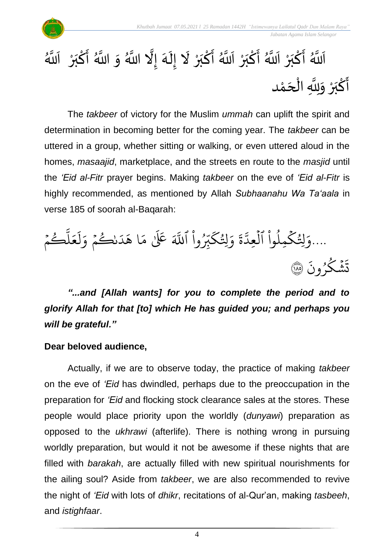

 *Jabatan Agama Islam Selangor*

#### ِ<br>الألم اَللَّهُ أَكْبَرْ  $\frac{1}{2}$ <u>ہ</u> ֝<br>֧֝֝֝֝֝֝֝֝<br>֧֝֝֬֝֬֝֟<u>֛</u> بر ْ ِ<br>اَاآ اَللَّهُ أَكْبَرْ  $\frac{1}{2}$ ؚ<br>م ֦֧<sup>֚</sup> بر ْ ِ<br>اَاتَو اَللَّهُ أَكْبَرْ لَا إِلَهَ إِلَّا  $\frac{1}{2}$ ؚ<br>م  $\ddot{\phantom{0}}$ بر ْ ً<br>أ  $\frac{1}{2}$  $\mathbf{r}$ ِ<br>آ المج ہ<br>اس م اللہ اللَّهُ وَ اللَّهُ أَكْبَرْ  $\frac{1}{2}$ انه<br>ا  $\sum_{i=1}^{n}$ ْ  $\frac{1}{2}$ بر ْ ِ<br>ا ا آم َّللا ِ<br>پنج أَكْبَرْ وَلِلَّهِ الْحَمْد <u>ْ</u> ِ<br>پ بر<br>ڊ ْ  $\tilde{\cdot}$ ا<br>ا ֦֧֦֧֦֧֦֧֦֧֦֧֦֧֦֧֜֜֜֓֓֟֓֟֓֟֓<br>֧֜֜֜֜֜֜֜֜**֓**  $\overline{\phantom{a}}$ ់<br>ត

The *takbeer* of victory for the Muslim *ummah* can uplift the spirit and determination in becoming better for the coming year. The *takbeer* can be uttered in a group, whether sitting or walking, or even uttered aloud in the homes, *masaajid*, marketplace, and the streets en route to the *masjid* until the *'Eid al-Fitr* prayer begins. Making *takbeer* on the eve of *'Eid al-Fitr* is highly recommended, as mentioned by Allah *Subhaanahu Wa Ta'aala* in verse 185 of soorah al-Baqarah:



*"...and [Allah wants] for you to complete the period and to glorify Allah for that [to] which He has guided you; and perhaps you will be grateful."*

## **Dear beloved audience,**

Actually, if we are to observe today, the practice of making *takbeer* on the eve of *'Eid* has dwindled, perhaps due to the preoccupation in the preparation for *'Eid* and flocking stock clearance sales at the stores. These people would place priority upon the worldly (*dunyawi*) preparation as opposed to the *ukhrawi* (afterlife). There is nothing wrong in pursuing worldly preparation, but would it not be awesome if these nights that are filled with *barakah*, are actually filled with new spiritual nourishments for the ailing soul? Aside from *takbeer*, we are also recommended to revive the night of *'Eid* with lots of *dhikr*, recitations of al-Qur'an, making *tasbeeh*, and *istighfaar*.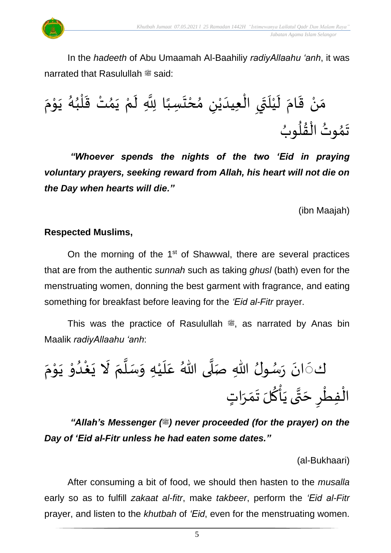In the *hadeeth* of Abu Umaamah Al-Baahiliy *radiyAllaahu 'anh*, it was narrated that Rasulullah  $\stackrel{\text{\tiny def}}{=}$  said:

ْ مَنْ قَامَ لَيْلَتَي الْعِيدَيْنِ مُحْتَسِبًا لِلَّهِ لَمْ يَمُتْ قَلْبُهُ يَوْمَ  $\tilde{\cdot}$  $\frac{1}{2}$  $\ddot{\mathbf{r}}$  $\zeta$  $\ddot{\phantom{0}}$  $\overline{\mathbf{1}}$ ំ<br>រ َ ٝ<br>ؙ ِ<br>ا ֦֧<sup>֦</sup> ً<br>أ  $\ddot{\phantom{0}}$ ,<br>ე  $\mathfrak{p}$ ا<br>ا  $\mathbf{r}$  $\ddot{\phantom{0}}$ ,<br>1  $\frac{1}{1}$ ֦֧֦֧֦֧֦֧֦֧֦֧֦֧֦֧֦֧֦֧֦֧֦֧֟֓֓<br>**֧**  $\frac{1}{2}$  $\frac{1}{2}$ י<br>י  $\ddot{\cdot}$ ,<br>\* تَمُوتُ الْقُلُوبُ ,<br>ለ  $\ddot{\phantom{0}}$ , e<br>1  $\frac{9}{4}$ ֧֦֦֝֝֝֝<br>֧֝֜֜֜֜֟֓֟֓֟֓֟֓֟֓֟֓֟֓֟֓֟֓֟֟֟֟֟֟֟֟֩֕֓

*"Whoever spends the nights of the two 'Eid in praying voluntary prayers, seeking reward from Allah, his heart will not die on the Day when hearts will die."* 

(ibn Maajah)

#### **Respected Muslims,**

On the morning of the  $1<sup>st</sup>$  of Shawwal, there are several practices that are from the authentic *sunnah* such as taking *ghusl* (bath) even for the menstruating women, donning the best garment with fragrance, and eating something for breakfast before leaving for the *'Eid al-Fitr* prayer.

This was the practice of Rasulullah  $\ddot{\mathcal{Z}}$ , as narrated by Anas bin Maalik *radiyAllaahu 'anh*:

كَذَانَ رَسُولُ اللّهِ صَلَّى اللّهُ عَلَيْهِ وَسَلَّمَ لَا يَغْدُوْ يَوْمَ ់<br>:  $\ddot{\phantom{0}}$  $\frac{1}{2}$ ,<br>, , ا<br>ا .<br>م  $\frac{1}{1}$ ំ<br>រ  $\frac{1}{2}$ ا<br>ا  $\frac{1}{2}$  $\tilde{a}$  $\ddot{\phantom{0}}$ ْ  $\frac{1}{1}$ ֦֧֝<br>֧֝֝**֝**  $\ddot{\phantom{0}}$ י<br>י  $\frac{1}{2}$ ْ الْفِطْرِ حَتَّى يَأْكُلَ تَمَرَاتٍ ֦֧֦֧֦֧֦֧֦֧֦֧֦֧֧֦֧֦֧֝֜֜֓֟֓<br>**֧**  $\overline{\phantom{a}}$ لة<br>\*  $\overline{a}$ ْ<br>ئ  $\frac{2}{3}$  $\ddot{\phantom{0}}$  $\frac{1}{2}$  $\frac{1}{2}$ 

*"Allah's Messenger (*  $\equiv$ *) never proceeded (for the prayer) on the Day of 'Eid al-Fitr unless he had eaten some dates."*

(al-Bukhaari)

After consuming a bit of food, we should then hasten to the *musalla* early so as to fulfill *zakaat al-fitr*, make *takbeer*, perform the *'Eid al-Fitr* prayer, and listen to the *khutbah* of *'Eid*, even for the menstruating women.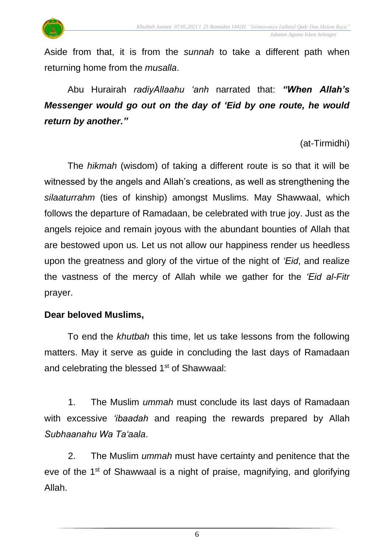

Aside from that, it is from the *sunnah* to take a different path when returning home from the *musalla*.

Abu Hurairah *radiyAllaahu 'anh* narrated that: *"When Allah's Messenger would go out on the day of 'Eid by one route, he would return by another."*

(at-Tirmidhi)

The *hikmah* (wisdom) of taking a different route is so that it will be witnessed by the angels and Allah's creations, as well as strengthening the *silaaturrahm* (ties of kinship) amongst Muslims. May Shawwaal, which follows the departure of Ramadaan, be celebrated with true joy. Just as the angels rejoice and remain joyous with the abundant bounties of Allah that are bestowed upon us. Let us not allow our happiness render us heedless upon the greatness and glory of the virtue of the night of *'Eid*, and realize the vastness of the mercy of Allah while we gather for the *'Eid al-Fitr* prayer.

## **Dear beloved Muslims,**

To end the *khutbah* this time, let us take lessons from the following matters. May it serve as guide in concluding the last days of Ramadaan and celebrating the blessed 1<sup>st</sup> of Shawwaal:

1. The Muslim *ummah* must conclude its last days of Ramadaan with excessive *'ibaadah* and reaping the rewards prepared by Allah *Subhaanahu Wa Ta'aala*.

2. The Muslim *ummah* must have certainty and penitence that the eve of the 1<sup>st</sup> of Shawwaal is a night of praise, magnifying, and glorifying Allah.

6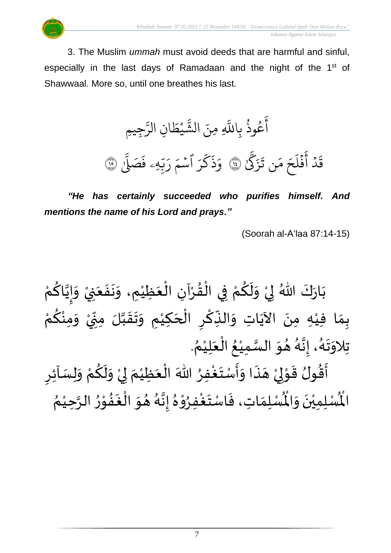

3. The Muslim *ummah* must avoid deeds that are harmful and sinful, especially in the last days of Ramadaan and the night of the 1<sup>st</sup> of Shawwaal. More so, until one breathes his last.

> و<br>په وذ ع و<br>م ر<br>ج أ ي با ي بر<br>آ ين ن ا  $\ddot{\cdot}$ َّلل يم  $\frac{1}{2}$ يْط **ٔ** ں<br>م الشَّيْطَانِ الرَّجِيمِ ِ<br>سَ الر ِّ ِ<br>س َّك  $\ddot{\cdot}$ ز  $\ddot{\cdot}$ ن ت  $\frac{1}{2}$ ر<br>م  $\frac{1}{2}$ ح  $\tilde{1}$ ل ف  $\ddot{\cdot}$ ر<br>ع أ ہ<br>ا دگر<br>د  $\ddot{\cdot}$ قَدْ أَفَلَحَ مَن تَزَكَّلُ لَهُمْ  $\overline{\phantom{a}}$ ر<br>ر Ź ك  $\ddot{\cdot}$ ذ  $\frac{1}{\alpha}$ وَذَكَرَ ا  $\frac{1}{2}$ سَّمَ رَبَّهِ  $\ddot{\phantom{0}}$ ں<br>م ب<br>ب رَبَّهِۦ فَصَلَّا ى<br>ا بَ<br>فَصَلِّن فَصَلِّ ١

*"He has certainly succeeded who purifies himself. And mentions the name of his Lord and prays."*

(Soorah al-A'laa 87:14-15)

بَارَكَ اللّهُ لِيْ وَلَكُمْ فِي الْقُرْآنِ الْعَظِيْمِ، وَنَفَعَنِيْ وَإِيَّاكُمْ  $\frac{1}{2}$  $\ddot{\phantom{0}}$ ْ َ  $\frac{1}{2}$  $\ddot{\phantom{0}}$  $\tilde{\cdot}$ ْ  $\frac{1}{2}$ ֦֧֦֧֦֧֦֧֦֜֜֜֜֜֜֜֜<br>֧ׅׅ֝֜֜֜֜֜֜֜֜֜֜֜֝֜֜֝֜<del>֟</del> ْ  $\frac{1}{2}$ ֦֧֦֧֦֧֦֧֦֧֦֜֜֜֜֜֜֜<br>֧֝֜֜ ْ  $\frac{2}{\sqrt{2}}$  $\tilde{\mathbf{r}}$  $\frac{1}{2}$ ْ إ ْ  $\frac{1}{2}$ ن<br>• !<br>-<br>- $\tilde{\cdot}$ ْ بِمَا فِيْهِ مِنَ الآيَاتِ وَالنِّكْرِ الْحَكِيْمِ وَتَقَبَّلَ مِنِّيْ وَمِنْكُمْ  $\frac{3}{2}$ ់<br>•  $\frac{1}{2}$ ْ .<br>.<br>.  $\sum$ ن<br>ا  $\frac{1}{2}$  $\frac{1}{2}$  $\frac{1}{2}$ ់<br>រ  $\overline{\phantom{a}}$ ْ  $\overline{\phantom{a}}$ ؚ<br>م  $\frac{1}{2}$ ์ $\frac{1}{2}$ ِ<br>پُ  $\ddot{\phantom{0}}$ ់<br>រ  $\frac{1}{2}$ . .<br>°∕ تِلاوَتَهُ، إِنَّهُ هُوَ السَّمِيْعُ الْعَلِيْمُ ْ َ ֦֧֦֧֦֧֦֧֦֧֦֧֦֧֜֜֜֜֓֓<br>֧ׅׅׅ֝֜֜֜֜֜֜֜֜֜֜֝֜֜֜֝֜֜֬֟  $\frac{1}{2}$ ْ ا<br>ما  $\frac{1}{2}$  $\frac{1}{2}$ و<br>م بة<br>•  $\frac{1}{2}$ .<br>د  $\ddot{\phantom{0}}$  $\frac{1}{2}$ ֦֧֦֧֦֧֦֧֦֧֝<u>֦</u> न<br>न<br>न  $\ddot{\cdot}$  $\frac{1}{2}$ -<br>ع<br>ع  $\frac{9}{2}$  $\tilde{\mathbf{r}}$ 

أَقُولُ قَوْلِيْ هَذَا وَأَسْتَغْفِرُ اللّٰهَ الْعَظِيْمَ لِيْ وَلَكُمْ وَلِسَاْئِرِ  $\frac{1}{2}$ ِ<br>وفيات  $\ddot{\ }$  $\frac{1}{2}$  $\overline{a}$ ំ<br>, لمح י<br>י ر<br>2  $\sum$  $\tilde{\cdot}$ ْ  $\frac{1}{2}$ ֦֧֦֧<u>֚</u> إ  $\frac{1}{2}$ ْ  $\frac{1}{2}$ ري<br>لْمُسْلِمَاتِ، فَاسْتَغْفِرُوْهُ إِنَّهُ هُوَ الْغَفُوْرُ الرَّحِيْمُ ំ<br>រ ان<br>م  $\frac{1}{2}$ י<br>י  $\frac{1}{2}$  $\ddot{\cdot}$ ر<br>ا  $\frac{1}{2}$  $\frac{1}{2}$ ,<br>A ن<br>•<br>•  $\frac{1}{2}$  $\frac{1}{2}$ ֦֧֦֦֦֝  $\frac{1}{2}$ ْ  $\frac{1}{2}$  $\frac{1}{2}$  $\frac{1}{2}$ ر۔<br>لْمُسْلِمِيْنَ وَالْمُ  $\frac{1}{2}$  $\ddot{\phantom{0}}$ ់<br>( المأ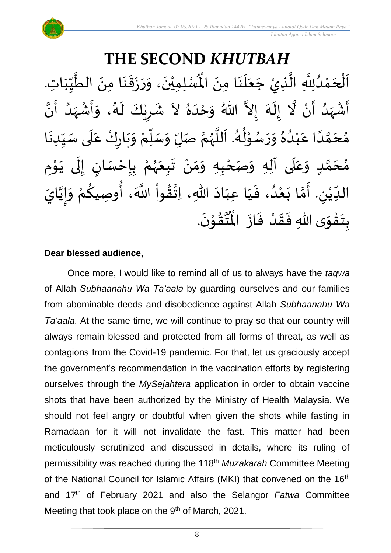#### **THE SECOND** *KHUTBAH* للسلمينَ، وَرَزَقَنَا مِنَ الطَّيِّبَاتِ  $\frac{1}{1}$  $\frac{1}{2}$  $\frac{1}{2}$ ان<br>ا  $\ddot{\phantom{0}}$ ़<br>; ا<br>:  $\ddot{\cdot}$  $\frac{1}{2}$  $\tilde{\cdot}$  $\ddot{\phantom{0}}$ ّٰ اَلْحَمْدُلِلَّهِ الَّذِيْ جَعَلَنَا مِنَ الْمُسْلِمِيْنَ، وَرَزَقَنَا مِنَ الطَّيِّبَاتِ.  $\ddot{\phantom{0}}$  $\ddot{\phantom{0}}$ َ<br>الم َ  $\overline{\phantom{a}}$ ا<br>ا اتا<br>ا و<br>ا ំ<br>ត  $\overline{\phantom{a}}$ ْ  $\overline{\phantom{a}}$ ا<br>ا أَشْهَدُ أَنْ لَّا إِلَهَ إِلاَّ اللّهُ وَحْدَهُ لاَ شَرِيْكَ لَهُ، وَأَشْهَدُ أَنَّ ْ ر<br>پنج ,<br>( ر<br>زن ْ ِ<br>پ  $\tilde{\cdot}$  $\frac{1}{2}$ -<br>3<br>-1 تا<br>ج َ<br>م  $\tilde{\phantom{0}}$  $\frac{1}{2}$ ِ<br>ا  $\tilde{\cdot}$ ا<br>به<br>• -<br>:<br>: بر<br>د  $\frac{1}{2}$ ْ  $\frac{1}{2}$  $\frac{1}{2}$ ,<br>1  $\tilde{\mathbf{r}}$ ْ  $\overline{\phantom{a}}$  $\frac{1}{2}$ مُحَمَّدًا عَبْدُهُ وَرَسُوْلُهُ. اَللَّهُمَّ صَلِّ وَسَلِّمْ وَبَارِكْ عَلَى سَبِّدِنَا  $\ddot{\phantom{0}}$  $\frac{1}{1}$  $\frac{1}{2}$ `<br>أ  $\frac{1}{2}$ ر<br>و  $\ddot{\phantom{0}}$  $\frac{1}{2}$ ْ ์<br>ข้  $\overline{r}$  $\tilde{\cdot}$ ن<br>م ,<br>, ا<br>ا  $\overline{\phantom{a}}$ ,<br>1  $\ast$ י<br>י ,<br>,  $\frac{1}{2}$  $\frac{1}{2}$  $\frac{2}{\lambda}$  $\frac{1}{\sqrt{2}}$ ْ .<br>م ً<br>أ ت<br>م  $\overline{\phantom{a}}$ ,<br>^ مُحَمَّدٍ وَعَلَى آلِهِ وَصَحْبِهِ وَمَنْ تَبِعَهُمْ بِإِحْسَانٍ إِلَى يَوْمِ <u>ل</u>ے ت<br>م  $\overline{\phantom{a}}$ ,<br>^  $\overline{\mathbf{r}}$ ً<br>م  $\tilde{\cdot}$ י<br>י ا<br>با<br>•  $\ddot{\phantom{0}}$ ل  $\frac{1}{2}$ ر<br>! ْ <u>د</u><br>-ْ ,<br>,  $\frac{1}{2}$  $\frac{1}{2}$ ْ  $\frac{1}{2}$ ์ $\tilde{\cdot}$ ֦֧<u>֦</u>  $\frac{1}{2}$ الدِّيْنِ. أَمَّا بَعْدُ، فَيَا عِبَادَ اللّهِ، اِتَّقُواْ اللَّهَ، أُوصِيكُمْ وَإِيَّايَ  $\frac{1}{\sqrt{2}}$ ំ<br>រ  $\ddot{\ }$ ت<br>م  $\frac{1}{2}$  $\overline{\phantom{a}}$ ّٰ<br>ٰ  $\frac{1}{\sqrt{2}}$ ن<br>•<br>• !<br>-<br>- $\frac{1}{2}$ .<br>م  $\frac{3}{2}$  $\frac{1}{2}$ ٔ<br>ا .<br>پيد ن<br>\*  $\sim$  $\frac{1}{1}$ َ .  $\ddot{\phantom{0}}$ تقوْنَ ֦֧֝֝֝<br>**֧**  $\frac{9}{4}$ ا<br>استقطا<br>جوا ر<br>مو بِتَقْوَى اللهِ فَقَدْ فَازَ الْمُ  $\ddot{\cdot}$  $\frac{1}{2}$ ْ  $\frac{1}{2}$  $\frac{1}{2}$  $\frac{1}{2}$ ْ  $\ddot{\ }$  $\ddot{\cdot}$

#### **Dear blessed audience,**

Once more, I would like to remind all of us to always have the *taqwa* of Allah *Subhaanahu Wa Ta'aala* by guarding ourselves and our families from abominable deeds and disobedience against Allah *Subhaanahu Wa Ta'aala*. At the same time, we will continue to pray so that our country will always remain blessed and protected from all forms of threat, as well as contagions from the Covid-19 pandemic. For that, let us graciously accept the government's recommendation in the vaccination efforts by registering ourselves through the *MySejahtera* application in order to obtain vaccine shots that have been authorized by the Ministry of Health Malaysia. We should not feel angry or doubtful when given the shots while fasting in Ramadaan for it will not invalidate the fast. This matter had been meticulously scrutinized and discussed in details, where its ruling of permissibility was reached during the 118th *Muzakarah* Committee Meeting of the National Council for Islamic Affairs (MKI) that convened on the 16<sup>th</sup> and 17th of February 2021 and also the Selangor *Fatwa* Committee Meeting that took place on the 9<sup>th</sup> of March, 2021.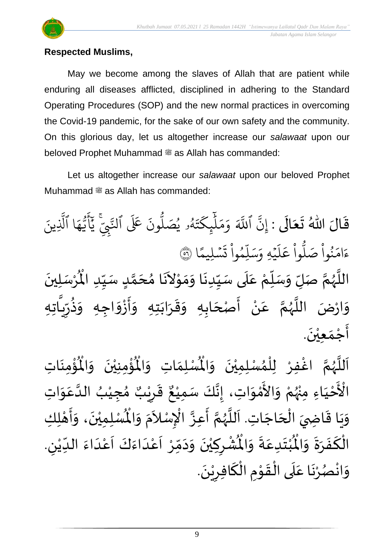

## **Respected Muslims,**

May we become among the slaves of Allah that are patient while enduring all diseases afflicted, disciplined in adhering to the Standard Operating Procedures (SOP) and the new normal practices in overcoming the Covid-19 pandemic, for the sake of our own safety and the community. On this glorious day, let us altogether increase our *salawaat* upon our beloved Prophet Muhammad as Allah has commanded:

Let us altogether increase our *salawaat* upon our beloved Prophet Muhammad  $\ddot{\text{m}}$  as Allah has commanded:

قَالَ اللّٰهُ تَعَالَى : إِنَّ  $\ddot{\phantom{0}}$ َ  $\frac{1}{2}$  $\frac{1}{2}$ ينَٱَ إ ہ<br>آک للَّهَ وَمَلْيِكْتَهُ و<br>لم  $\ddot{\cdot}$ ت Ź يك ئ بر<br>آ  $\mu$  $\frac{1}{2}$ بر<br>م  $\frac{1}{\epsilon}$ وَمَلَّيٕكَتَهُۥ يُصَلُّونَ عَلَى ون و<br>ا يُصَلُّونَ عَلَى ٱلنَّبِيِّ و<br>د ي ي لنَّبِّيّ يَاْيُّهَا ر<br>م ه و<br>د سَ<br>ڊ ر<br>بع أ ِ<br>د يَأَيُّهَا ٱلَّذِينَ یہ<br>۱ َّل و و<br>ا بُواْ صَلَّ ْ ُو  $\frac{1}{2}$ ام  $\tilde{\cdot}$ ءَامَنُوا صَلُوا عَلَيْهِ وَسَلِمُوا تَسْلِيمًا  $\frac{2}{1}$ ن<br>سليمًا  $\ddot{\phantom{0}}$  $\ddot{\cdot}$ ت <u>ہ</u><br>ا وا يم و ں<br>آ ل  $\overline{\phantom{a}}$ ر<br>سد  $\frac{1}{c}$ يُه وَ,  $\ddot{\phantom{0}}$  $\tilde{1}$  $\mathcal{L}$ ر<br>ش ا عَلَيْهِ وَسَلِمُوا تَسْلِيمًا ۞ ْ بِي<br>ا اللَّهُمَّ صَلِّ وَسَلِّمْ عَلَى سَيِّدِنَا وَمَوْلاَنَا مُحَمَّدٍ سَيِّدِ الْمُرْسَلِينَ  $\ddot{\phantom{0}}$ ْ  $\ddot{\mathbf{r}}$ للَّهُمَّ صَلِّ وَسَلِّمْ عَلَى سَيِّدِنَا وَمَوْلاَنَا مُحَمَّدٍ سَيِّدِ الْمُ  $\frac{1}{1}$  $\frac{1}{2}$ <u>لم</u> ت<br>م  $\overline{\phantom{a}}$ י<br>ג  $\tilde{\mathbf{a}}$  $\sim$ ֦֦֝֝<br>**֝**  $\frac{1}{2}$  $\frac{1}{2}$ ।<br>-<br>•  $\frac{1}{1}$ ۔<br>آ .<br>م ْ :<br>"  $\overline{r}$  $\frac{1}{2}$ ن<br>م ,<br>, ا<br>آ  $\tilde{\mathcal{A}}$ .<br>اتر .<br>تا وَارْضَ اللَّهُمَّ عَنْ أَصْحَابِهِ وَقَرَابَتِهِ وَأَزْوَاجِهِ وَذُرِّدِّ  $\frac{1}{\sqrt{2}}$ ر ノー・・・  $\frac{1}{2}$  $\frac{1}{2}$ ا<br>م  $\frac{1}{2}$  $\tilde{\cdot}$  $\ddot{\phantom{0}}$  $\frac{1}{2}$  $\frac{1}{2}$  $\frac{1}{2}$ ़<br>-<br>-با<br>: ំ<br>• .<br>م ن<br>م ,<br>, ا<br>ا  $\frac{1}{2}$  $\ddot{\phantom{0}}$ أَجْمَعِيْنَ. ْ  $\frac{1}{2}$ ֦֧֦֧֦֧֦֧֦֧֦֧֦֧֦֧֦֧<br>**֧** ।<br>न्

ِ<br>اَللَّهُمَّ اغْفِرْ لِلْمُسْلِمِيْنَ وَالْمُسْلِمَاتِ وَالْمُؤْمِنِيْنَ وَالْمُؤْمِنَاتِ ,<br>^ ٝ<br>ا ِ<br>و انا<br>م ,<br>, ا<br>آ  $\mathbf{r}$  $\ddot{\phantom{0}}$ ់<br>:  $\mathbf{r}^{\circ}$ ُؤْمِنِيْنَ ۖ وَالْمُ  $\frac{1}{2}$  $\ddot{\phantom{0}}$ ْ ់<br>:  $\mathbf{r}^{\circ}$ ِ<br>لْمُ*سْ*لِمَاتِ وَالْمُ  $\frac{1}{2}$  $\frac{1}{2}$ نَ وَالْمُ  $\frac{1}{2}$  $\ddot{\phantom{0}}$ ់<br>រ ي َ ْ الْأَحْيَاءِ مِنْهُمْ وَالأَمْوَاتِ، إِنَّكَ سَمِيْعٌ قَرِيْبٌ مُجِيْبُ الدَّعَوَاتِ َ ֦֧֦֧֦֧֦֧֦֧֦֧֦֧֦֧֟֓<br>**֧** ْ ر<br>زر ْ  $\frac{1}{2}$ ْ<br>م ں<br>ج  $\frac{1}{2}$ ِ<br>م ان<br>ا , ٝ<br>ْ )<br>ጎ ه<br>**ثا** ي ر ق  $\overline{\phantom{a}}$  $\ddot{\ddot{\mathbf{r}}}$  $\frac{1}{2}$ .<br>، إِنَّكَ سَمِيْعٌ ْ ل<br>•<br>•  $\frac{1}{2}$ وَيَا قَاضِيَ الْحَاجَاتِ. اَللَّهُمَّ أَعِزَّ الْإِسْلاَمَ وَ  $\overline{\phantom{a}}$ ֦֧֦֧֦֧֦֧֦֧֦֧֦֧֦֧<br>**֞**  $\overline{a}$ ์<br>:<br>:  $\frac{1}{2}$  $\frac{1}{2}$ ر<br>آ ا<br>آ  $\frac{1}{2}$ ن<br>م  $\frac{1}{2}$ الله ا<br>م  $\tilde{\zeta}$  $\frac{1}{2}$  $\tilde{\cdot}$  $\frac{1}{\sqrt{2}}$ الْمُمْلِمِيْنَ، وَأَهْلِكِ ۔<br>و ْ ي  $\ddot{\phantom{0}}$  $\frac{1}{2}$ י<br>**י**  $\vdots$  $\tilde{\cdot}$  $\ddot{\ }$ ت ب ំ<br>រ  $\ddot{\bm{r}}$ الْكَفَرَةَ وَالْمُبْتَدِعَةَ وَالْمُشْرِكِيْنَ وَدَمِّرْ أَعْدَاءَكَ أَعْدَاءَ الدِّيْنِ. ์ $\frac{1}{2}$  $\ddot{\phantom{0}}$  $\frac{1}{2}$  $\ddot{\cdot}$ ์<br>-<br>-بــ<br>1 ڔ ْ  $\frac{1}{1}$  $\frac{1}{2}$ ا<br>ا ۔<br>م ۔<br>آ َ<br>و  $\frac{1}{2}$ ا<br>-<br>ا ِ<br>م ۔<br>آ ْ<br>ْ  $\frac{1}{\lambda}$  $\ddot{\phantom{0}}$  $\tilde{\phantom{a}}$  $\ddot{\phantom{0}}$ ់<br>រ  $\overline{\phantom{a}}$ ْ  $\ddot{\bm{r}}$ لبِعَةَ وَالْمُ  $\frac{1}{2}$  $\frac{1}{2}$ .<br>م .  $\ddot{\phantom{0}}$ وَانْصُرْنَا عَلَى الْقَوْمِ الْكَافِرِيْنَ ٝ<br>ؙ  $\sum$ ์<br><del>๎</del> `<br>ا  $\ddot{\phantom{0}}$ י<br>י  $\frac{1}{2}$ ّ<br>ا َ .<br>م  $\ddot{\phantom{0}}$ ْ , ់<br>•  $\frac{1}{2}$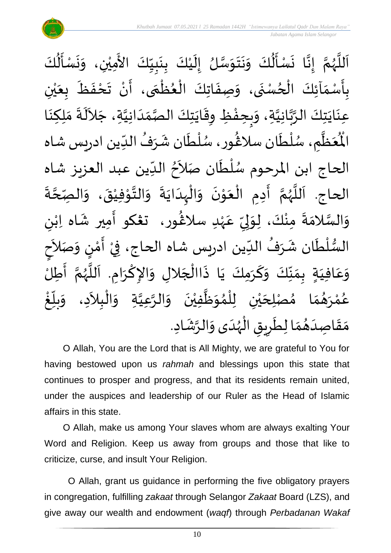

اَللَّهُمَّ إِنَّا نَسْأَلُكَ وَنَتَوَسَّلُ إِلَيْكَ بِنَبِيِّكَ الأَمِيْنِ، وَنَسْأَلُكَ  $\frac{1}{1}$  $\frac{1}{2}$ <u>لم</u><br>:  $\ddot{\phantom{0}}$ <u>د</u><br>: ំ<br>រ  $\tilde{\mathbf{r}}$  $\frac{1}{2}$ ا<br>ما  $\frac{1}{2}$  $\ddot{\phantom{0}}$  $\ddot{\phantom{0}}$  $\frac{1}{2}$  $\ddot{\ddot{\cdot}}$  $\frac{1}{2}$  $\ddot{\phantom{0}}$ ا<br>با<br>:  $\frac{1}{2}$ ن<br>م ,<br>, ا<br>آ  $\mathbf{r}$ َ<br>ج  $\ddot{\ddot{\cdot}}$  $\sum_{i=1}^{n}$  $\ddot{\phantom{0}}$  $\tilde{\cdot}$ ْ  $\ddot{\phantom{0}}$ .<br>بِأَسْمَآئِكَ الْحُسْنَى، وَصِفَاتِكَ الْعُظُمَى، أَنْ تَحْفَظَ بِعَيْنِ  $\frac{1}{2}$ ْ  $\frac{1}{2}$  $\frac{1}{2}$ <u>د</u><br>: ر<br>م ֦֧֦֧֦֧֦֧֦֧֦֧֦֧֦֧֧֦֧֦֧֦֧֦֧֦֧֝֝֟֓֓֜֓֓֟֓֓<br>**֧**  $\frac{1}{2}$ ֦֧֦֧֦֧֦֧֦֧֦֧֦֧֦֧֜֜֜֓֓<br>**֡**  $\ddot{\cdot}$  $\frac{1}{2}$ ْ  $\sum_{i=1}^{n}$ ْ ي َ  $\frac{1}{\sqrt{2}}$  $\ddot{\cdot}$  $\frac{1}{2}$ ِ<br>عِنَايَتِكَ الرَّبَّانِيَّةِ، وَبِحِفْظِ وِقَايَتِكَ الصَّمَدَانِيَّةِ، جَلاَلَةَ مَلِكِنَا ان<br>ا ن<br>م<br>۱ انہ<br>م  $\ddot{\phantom{0}}$  $\ddot{\phantom{0}}$  $\tilde{\phantom{0}}$ ان<br>ا  $\frac{1}{1}$  $\frac{1}{2}$ اتا<br>مر  $\ddot{\phantom{0}}$  $\frac{1}{2}$ ້<br>: ر<br>خ  $\frac{1}{2}$  $\ddot{\cdot}$ ِ<br>پ  $\ddot{\phantom{0}}$  $\frac{1}{2}$  م ظ ع ر<br>آباد  $\frac{1}{2}$ ئر<br>مو الْمُخَطَّمِ، سُلْطَان سلَاغُور، سُلْطَان شَرَفُ الدِّين ادريس شاه ر<br>م ر<br>أ ,<br>, )<br>4  $\frac{1}{\sqrt{2}}$ ,  $\frac{1}{2}$ ر<br>م ֦֧֦֧֦  $\frac{1}{2}$  $\sim$ الحاج ابن المرحوم سُلْطَان صَلاَحُ الدِّين عبد العزيز شاه  $\ddot{\cdot}$ ا<br>أ ,  $\frac{1}{2}$  $\frac{1}{2}$ َ الحاج. اَللَّهُمَّ أَدِمِ الْعَوْنَ وَالْبِدَايَةَ وَالتَّوْفِيْقَ، وَ انا<br>م ,<br>, ا<br>ا ،<br>آ  $\ddot{\cdot}$ .<br>الصّحّةَ ن<br>م  $\frac{1}{2}$  $\ddot{\phantom{0}}$ ْ י<br>י انا  $\frac{1}{2}$  $\ddot{\cdot}$  $\ddot{\phantom{0}}$ ا<br>ا ้<br>ו  $\frac{1}{2}$  $\ddot{\phantom{0}}$ ֦֧֦֝<br>**֧**  $\frac{1}{2}$ ْ  $\frac{1}{2}$ ى<br>وَالسَّلامَةَ مِنْكَ، لِوَلِيِّ عَهْدِ سلاڠُورِ، تَعْكُو أَمِيرِ شَاه اِبْنِ ٝ<br>ٛ<br>ٛ .<br>م ม<br>"  $\frac{1}{2}$ لم  $\frac{1}{2}$ ْ  $\ddot{ }$  $\frac{1}{2}$ ا<br>ما  $\frac{1}{2}$ )<br>4 ْ  $\frac{1}{2}$ ֝֝֝֝֝֝֟֝֝֝֝֝֝֝֝֝<br>֧֝֝֝֝֝֝֝֝֝֝<br>֧֝֝֝֝֝֝֝֝֝ السُّلْطَان شَرَفُ الدِّين ادريس شاه الحاج، فِيْ أَمْنٍ وَصَلاََ ۔<br>س , ِرِ ์<br>ิ์ ٝ<br>ا ر<br>بر<br>س  $\frac{1}{2}$ ْ َ  $\frac{1}{2}$ )<br>إ י<br>י  $\sum_{i=1}^{n}$ ।<br>त م<br>ح<br>ح وَعَافِيَةٍ بِمَنَّكَ وَكَرَمِكَ يَا ذَاالْجَلالِ وَالإِكْرَامِ. اَللَّهُمَّ أَطِلُ  $\frac{1}{2}$  $\overline{\phantom{a}}$ ا<br>أ َ<br>پيدا  $\ddot{\phantom{0}}$ ์<br>-<br>- $\frac{1}{2}$  $\frac{\nu}{\sqrt{2}}$  $\frac{1}{2}$  $\frac{1}{2}$  $\frac{1}{2}$ َ .<br>م  $\frac{1}{2}$ ا<br>:<br>: تا<br>م )<br>}<br>/-سم<br>تار<br>ا  $\overline{\phantom{a}}$  $\ddot{\phantom{0}}$ ا<br>د  $\tilde{\phantom{a}}$ الْبِلاَدِ، وَ ֦֧֦֧֦֧֦֧֝<u>֦</u>  $\tilde{\cdot}$ لِحَيْنِ لِلْمُوَظَّفِيْنَ وَالرَّعِيَّةِ وَ ان<br>ا اتا<br>ا ์  $\ddot{\phantom{0}}$ ់<br>រ ا<br>ا  $\frac{1}{2}$ ,<br>ለ ់<br>( ់<br>ព ي  $\overline{\phantom{a}}$ صْ ا م  $\frac{1}{2}$  $\frac{1}{2}$ م  $\frac{1}{2}$ و<br>ها رَ **ّ** ه<br>لم و<br>م و<br>ڪ ֧֞֟<u>֚</u> غ .<br>ا  $\sum_{i=1}^{n}$ بلآ  $\tilde{\cdot}$ م<br>م مَقَاصِدَهُمَا لِطَرِيقِ الْهُدَى وَالرَّشَادِ. g<br>1. ֦֧֦֧֦֦֧֦֧֦֧֦֧֦֝֜֜֓֓֟֓֟֓֟֓֟֓<br>֧֜֜֜֜֜֜֜֜**֓** Ï  $\overline{\phantom{a}}$  $\frac{1}{\epsilon}$  $\frac{1}{2}$  $\frac{1}{2}$ َ  $\frac{1}{2}$  $\frac{1}{2}$ ្រ  $\tilde{\cdot}$ 

O Allah, You are the Lord that is All Mighty, we are grateful to You for having bestowed upon us *rahmah* and blessings upon this state that continues to prosper and progress, and that its residents remain united, under the auspices and leadership of our Ruler as the Head of Islamic affairs in this state.

O Allah, make us among Your slaves whom are always exalting Your Word and Religion. Keep us away from groups and those that like to criticize, curse, and insult Your Religion.

O Allah, grant us guidance in performing the five obligatory prayers in congregation, fulfilling *zakaat* through Selangor *Zakaat* Board (LZS), and give away our wealth and endowment (*waqf*) through *Perbadanan Wakaf*